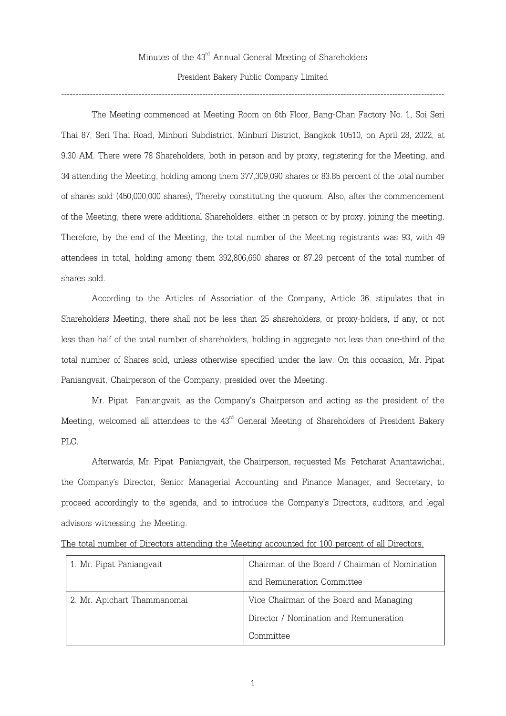Minutes of the  $43^{\rm rd}$  Annual General Meeting of Shareholders President Bakery Public Company Limited

# -------------------------------------------------------------------------------------------------------------------------------------

The Meeting commenced at Meeting Room on 6th Floor, Bang-Chan Factory No. 1, Soi Seri Thai 87, Seri Thai Road, Minburi Subdistrict, Minburi District, Bangkok 10510, on April 28, 2022, at 9.30 AM. There were 78 Shareholders, both in person and by proxy, registering for the Meeting, and 34 attending the Meeting, holding among them 377,309,090 shares or 83.85 percent of the total number of shares sold (450,000,000 shares), Thereby constituting the quorum. Also, after the commencement of the Meeting, there were additional Shareholders, either in person or by proxy, joining the meeting. Therefore, by the end of the Meeting, the total number of the Meeting registrants was 93, with 49 attendees in total, holding among them 392,806,660 shares or 87.29 percent of the total number of shares sold.

According to the Articles of Association of the Company, Article 36. stipulates that in Shareholders Meeting, there shall not be less than 25 shareholders, or proxy-holders, if any, or not less than half of the total number of shareholders, holding in aggregate not less than one-third of the total number of Shares sold, unless otherwise specified under the law. On this occasion, Mr. Pipat Paniangvait, Chairperson of the Company, presided over the Meeting.

Mr. Pipat Paniangvait, as the Company's Chairperson and acting as the president of the Meeting, welcomed all attendees to the  $43^{\text{rd}}$  General Meeting of Shareholders of President Bakery PLC.

Afterwards, Mr. Pipat Paniangvait, the Chairperson, requested Ms. Petcharat Anantawichai, the Company's Director, Senior Managerial Accounting and Finance Manager, and Secretary, to proceed accordingly to the agenda, and to introduce the Company's Directors, auditors, and legal advisors witnessing the Meeting.

|  |  |  |  | The total number of Directors attending the Meeting accounted for 100 percent of all Directors. |  |  |  |
|--|--|--|--|-------------------------------------------------------------------------------------------------|--|--|--|
|  |  |  |  |                                                                                                 |  |  |  |
|  |  |  |  |                                                                                                 |  |  |  |

| 1. Mr. Pipat Paniangvait    | Chairman of the Board / Chairman of Nomination |  |  |
|-----------------------------|------------------------------------------------|--|--|
|                             | and Remuneration Committee                     |  |  |
| 2. Mr. Apichart Thammanomai | Vice Chairman of the Board and Managing        |  |  |
|                             | Director / Nomination and Remuneration         |  |  |
|                             | Committee                                      |  |  |

1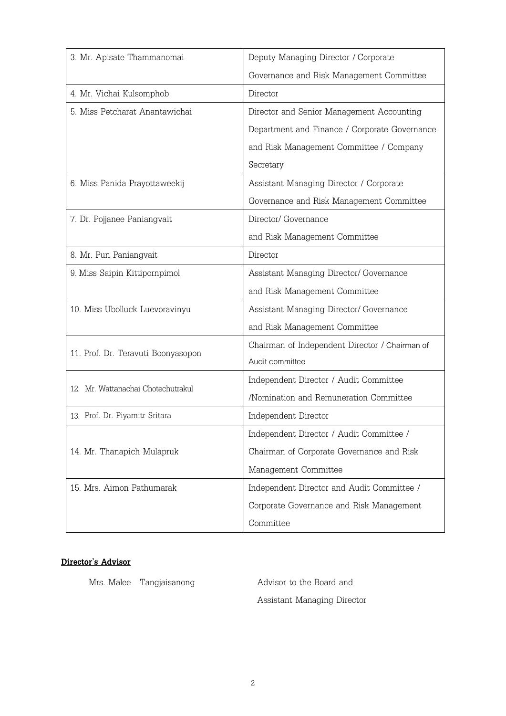| 3. Mr. Apisate Thammanomai         | Deputy Managing Director / Corporate           |  |  |
|------------------------------------|------------------------------------------------|--|--|
|                                    | Governance and Risk Management Committee       |  |  |
| 4. Mr. Vichai Kulsomphob           | Director                                       |  |  |
| 5. Miss Petcharat Anantawichai     | Director and Senior Management Accounting      |  |  |
|                                    | Department and Finance / Corporate Governance  |  |  |
|                                    | and Risk Management Committee / Company        |  |  |
|                                    | Secretary                                      |  |  |
| 6. Miss Panida Prayottaweekij      | Assistant Managing Director / Corporate        |  |  |
|                                    | Governance and Risk Management Committee       |  |  |
| 7. Dr. Pojjanee Paniangvait        | Director/ Governance                           |  |  |
|                                    | and Risk Management Committee                  |  |  |
| 8. Mr. Pun Paniangvait             | Director                                       |  |  |
| 9. Miss Saipin Kittipornpimol      | Assistant Managing Director/ Governance        |  |  |
|                                    | and Risk Management Committee                  |  |  |
| 10. Miss Ubolluck Luevoravinyu     | Assistant Managing Director/ Governance        |  |  |
|                                    | and Risk Management Committee                  |  |  |
| 11. Prof. Dr. Teravuti Boonyasopon | Chairman of Independent Director / Chairman of |  |  |
|                                    | Audit committee                                |  |  |
| 12. Mr. Wattanachai Chotechutrakul | Independent Director / Audit Committee         |  |  |
|                                    | /Nomination and Remuneration Committee         |  |  |
| 13. Prof. Dr. Piyamitr Sritara     | Independent Director                           |  |  |
|                                    | Independent Director / Audit Committee /       |  |  |
| 14. Mr. Thanapich Mulapruk         | Chairman of Corporate Governance and Risk      |  |  |
|                                    | Management Committee                           |  |  |
| 15. Mrs. Aimon Pathumarak          | Independent Director and Audit Committee /     |  |  |
|                                    | Corporate Governance and Risk Management       |  |  |
|                                    | Committee                                      |  |  |

## **Director's Advisor**

Mrs. Malee Tangjaisanong Mrs. Advisor to the Board and

Assistant Managing Director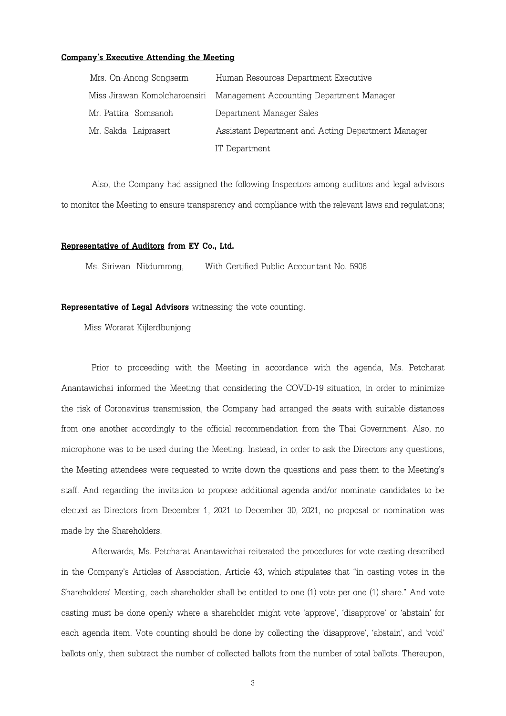#### **Company's Executive Attending the Meeting**

| Mrs. On-Anong Songserm        | Human Resources Department Executive               |
|-------------------------------|----------------------------------------------------|
| Miss Jirawan Komolcharoensiri | Management Accounting Department Manager           |
| Mr. Pattira Somsanoh          | Department Manager Sales                           |
| Mr. Sakda Laiprasert          | Assistant Department and Acting Department Manager |
|                               | IT Department                                      |

Also, the Company had assigned the following Inspectors among auditors and legal advisors to monitor the Meeting to ensure transparency and compliance with the relevant laws and regulations;

### **Representative of Auditors from EY Co., Ltd.**

Ms. Siriwan Nitdumrong, With Certified Public Accountant No. 5906

#### **Representative of Legal Advisors** witnessing the vote counting.

Miss Worarat Kijlerdbunjong

Prior to proceeding with the Meeting in accordance with the agenda, Ms. Petcharat Anantawichai informed the Meeting that considering the COVID-19 situation, in order to minimize the risk of Coronavirus transmission, the Company had arranged the seats with suitable distances from one another accordingly to the official recommendation from the Thai Government. Also, no microphone was to be used during the Meeting. Instead, in order to ask the Directors any questions, the Meeting attendees were requested to write down the questions and pass them to the Meeting's staff. And regarding the invitation to propose additional agenda and/or nominate candidates to be elected as Directors from December 1, 2021 to December 30, 2021, no proposal or nomination was made by the Shareholders.

Afterwards, Ms. Petcharat Anantawichai reiterated the procedures for vote casting described in the Company's Articles of Association, Article 43, which stipulates that "in casting votes in the Shareholders' Meeting, each shareholder shall be entitled to one (1) vote per one (1) share." And vote casting must be done openly where a shareholder might vote 'approve', 'disapprove' or 'abstain' for each agenda item. Vote counting should be done by collecting the 'disapprove', 'abstain', and 'void' ballots only, then subtract the number of collected ballots from the number of total ballots. Thereupon,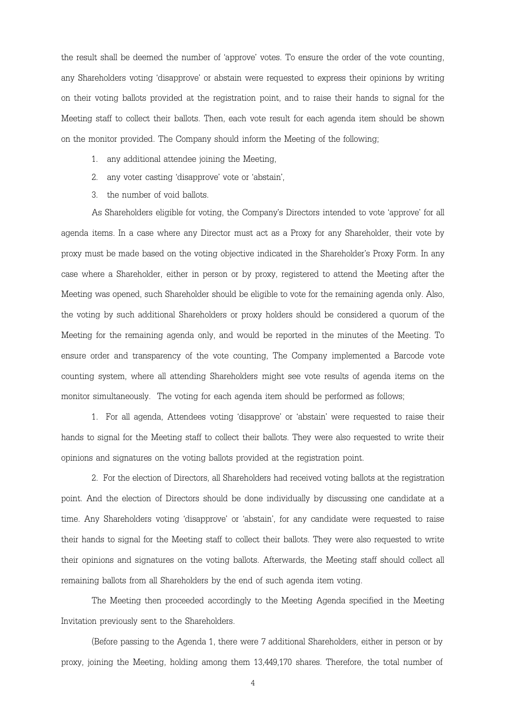the result shall be deemed the number of 'approve' votes. To ensure the order of the vote counting, any Shareholders voting 'disapprove' or abstain were requested to express their opinions by writing on their voting ballots provided at the registration point, and to raise their hands to signal for the Meeting staff to collect their ballots. Then, each vote result for each agenda item should be shown on the monitor provided. The Company should inform the Meeting of the following;

- 1. any additional attendee joining the Meeting,
- 2. any voter casting 'disapprove' vote or 'abstain',
- 3. the number of void ballots.

As Shareholders eligible for voting, the Company's Directors intended to vote 'approve' for all agenda items. In a case where any Director must act as a Proxy for any Shareholder, their vote by proxy must be made based on the voting objective indicated in the Shareholder's Proxy Form. In any case where a Shareholder, either in person or by proxy, registered to attend the Meeting after the Meeting was opened, such Shareholder should be eligible to vote for the remaining agenda only. Also, the voting by such additional Shareholders or proxy holders should be considered a quorum of the Meeting for the remaining agenda only, and would be reported in the minutes of the Meeting. To ensure order and transparency of the vote counting, The Company implemented a Barcode vote counting system, where all attending Shareholders might see vote results of agenda items on the monitor simultaneously. The voting for each agenda item should be performed as follows;

1. For all agenda, Attendees voting 'disapprove' or 'abstain' were requested to raise their hands to signal for the Meeting staff to collect their ballots. They were also requested to write their opinions and signatures on the voting ballots provided at the registration point.

2. For the election of Directors, all Shareholders had received voting ballots at the registration point. And the election of Directors should be done individually by discussing one candidate at a time. Any Shareholders voting 'disapprove' or 'abstain', for any candidate were requested to raise their hands to signal for the Meeting staff to collect their ballots. They were also requested to write their opinions and signatures on the voting ballots. Afterwards, the Meeting staff should collect all remaining ballots from all Shareholders by the end of such agenda item voting.

The Meeting then proceeded accordingly to the Meeting Agenda specified in the Meeting Invitation previously sent to the Shareholders.

(Before passing to the Agenda 1, there were 7 additional Shareholders, either in person or by proxy, joining the Meeting, holding among them 13,449,170 shares. Therefore, the total number of

4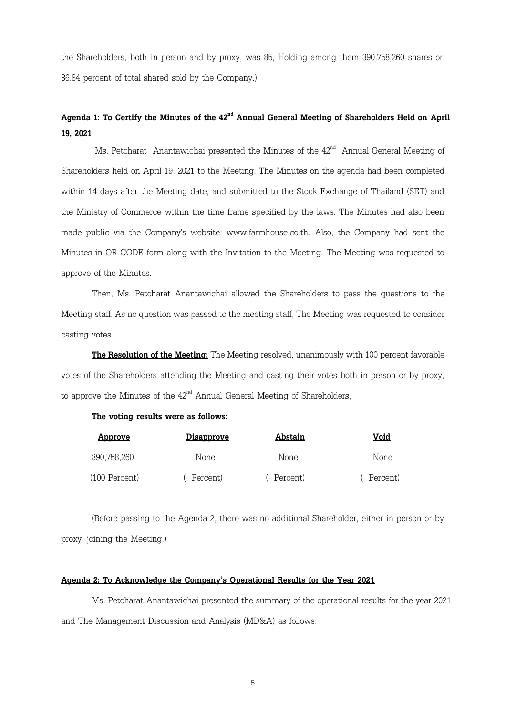the Shareholders, both in person and by proxy, was 85, Holding among them 390,758,260 shares or 86.84 percent of total shared sold by the Company.)

# $\bf{A}$ genda 1: To Certify the Minutes of the 42<sup>nd</sup> Annual General Meeting of Shareholders Held on April **19, 2021**

Ms. Petcharat Anantawichai presented the Minutes of the  $42^{\text{nd}}$  Annual General Meeting of Shareholders held on April 19, 2021 to the Meeting. The Minutes on the agenda had been completed within 14 days after the Meeting date, and submitted to the Stock Exchange of Thailand (SET) and the Ministry of Commerce within the time frame specified by the laws. The Minutes had also been made public via the Company's website: www.farmhouse.co.th. Also, the Company had sent the Minutes in QR CODE form along with the Invitation to the Meeting. The Meeting was requested to approve of the Minutes.

Then, Ms. Petcharat Anantawichai allowed the Shareholders to pass the questions to the Meeting staff. As no question was passed to the meeting staff, The Meeting was requested to consider casting votes.

**The Resolution of the Meeting:** The Meeting resolved, unanimously with 100 percent favorable votes of the Shareholders attending the Meeting and casting their votes both in person or by proxy, to approve the Minutes of the  $42^{\text{nd}}$  Annual General Meeting of Shareholders,

## **The voting results were as follows:**

| <u>Approve</u>  | <u>Disapprove</u> | Abstain     | Void        |
|-----------------|-------------------|-------------|-------------|
| 390,758,260     | None              | None        | None        |
| $(100$ Percent) | (- Percent)       | (- Percent) | (- Percent) |

(Before passing to the Agenda 2, there was no additional Shareholder, either in person or by proxy, joining the Meeting.)

### **Agenda 2: To Acknowledge the Company's Operational Results for the Year 2021**

Ms. Petcharat Anantawichai presented the summary of the operational results for the year 2021 and The Management Discussion and Analysis (MD&A) as follows: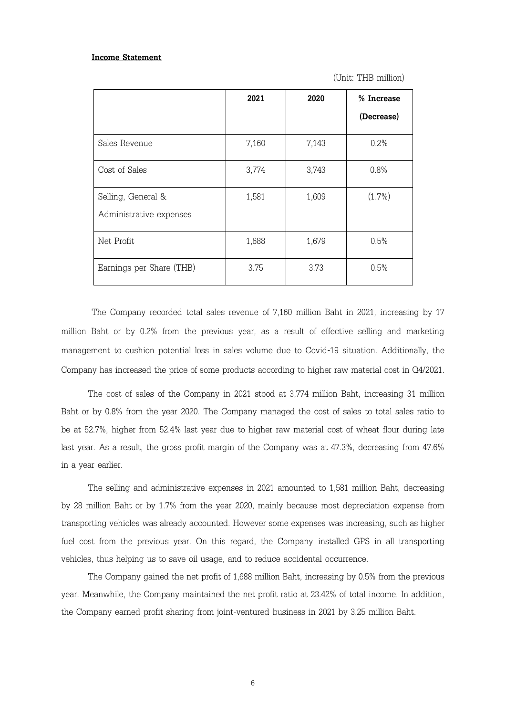#### **Income Statement**

(Unit: THB million)

|                          | 2021  | 2020  | % Increase |
|--------------------------|-------|-------|------------|
|                          |       |       | (Decrease) |
| Sales Revenue            | 7,160 | 7,143 | 0.2%       |
| Cost of Sales            | 3,774 | 3,743 | 0.8%       |
| Selling, General &       | 1,581 | 1,609 | $(1.7\%)$  |
| Administrative expenses  |       |       |            |
| Net Profit               | 1,688 | 1,679 | 0.5%       |
| Earnings per Share (THB) | 3.75  | 3.73  | 0.5%       |

The Company recorded total sales revenue of 7,160 million Baht in 2021, increasing by 17 million Baht or by 0.2% from the previous year, as a result of effective selling and marketing management to cushion potential loss in sales volume due to Covid-19 situation. Additionally, the Company has increased the price of some products according to higher raw material cost in Q4/2021.

The cost of sales of the Company in 2021 stood at 3,774 million Baht, increasing 31 million Baht or by 0.8% from the year 2020. The Company managed the cost of sales to total sales ratio to be at 52.7%, higher from 52.4% last year due to higher raw material cost of wheat flour during late last year. As a result, the gross profit margin of the Company was at 47.3%, decreasing from 47.6% in a year earlier.

The selling and administrative expenses in 2021 amounted to 1,581 million Baht, decreasing by 28 million Baht or by 1.7% from the year 2020, mainly because most depreciation expense from transporting vehicles was already accounted. However some expenses was increasing, such as higher fuel cost from the previous year. On this regard, the Company installed GPS in all transporting vehicles, thus helping us to save oil usage, and to reduce accidental occurrence.

The Company gained the net profit of 1,688 million Baht, increasing by 0.5% from the previous year. Meanwhile, the Company maintained the net profit ratio at 23.42% of total income. In addition, the Company earned profit sharing from joint-ventured business in 2021 by 3.25 million Baht.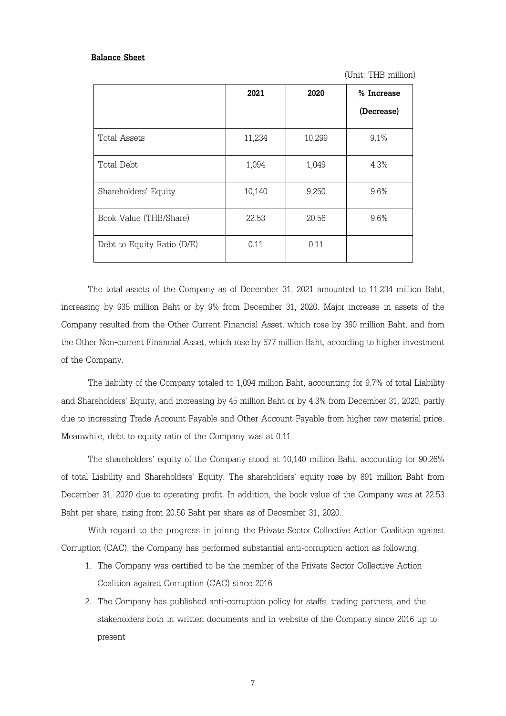#### **Balance Sheet**

(Unit: THB million)

|                            | 2021   | 2020   | % Increase<br>(Decrease) |
|----------------------------|--------|--------|--------------------------|
| Total Assets               | 11,234 | 10,299 | 9.1%                     |
| Total Debt                 | 1,094  | 1,049  | 4.3%                     |
| Shareholders' Equity       | 10,140 | 9,250  | 9.6%                     |
| Book Value (THB/Share)     | 22.53  | 20.56  | 9.6%                     |
| Debt to Equity Ratio (D/E) | 0.11   | 0.11   |                          |

The total assets of the Company as of December 31, 2021 amounted to 11,234 million Baht, increasing by 935 million Baht or by 9% from December 31, 2020. Major increase in assets of the Company resulted from the Other Current Financial Asset, which rose by 390 million Baht, and from the Other Non-current Financial Asset, which rose by 577 million Baht, according to higher investment of the Company.

The liability of the Company totaled to 1,094 million Baht, accounting for 9.7% of total Liability and Shareholders' Equity, and increasing by 45 million Baht or by 4.3% from December 31, 2020, partly due to increasing Trade Account Payable and Other Account Payable from higher raw material price. Meanwhile, debt to equity ratio of the Company was at 0.11.

The shareholders' equity of the Company stood at 10,140 million Baht, accounting for 90.26% of total Liability and Shareholders' Equity. The shareholders' equity rose by 891 million Baht from December 31, 2020 due to operating profit. In addition, the book value of the Company was at 22.53 Baht per share, rising from 20.56 Baht per share as of December 31, 2020.

 With regard to the progress in joinng the Private Sector Collective Action Coalition against Corruption (CAC), the Company has performed substantial anti-corruption action as following,

- 1. The Company was certified to be the member of the Private Sector Collective Action Coalition against Corruption (CAC) since 2016
- 2. The Company has published anti-corruption policy for staffs, trading partners, and the stakeholders both in written documents and in website of the Company since 2016 up to present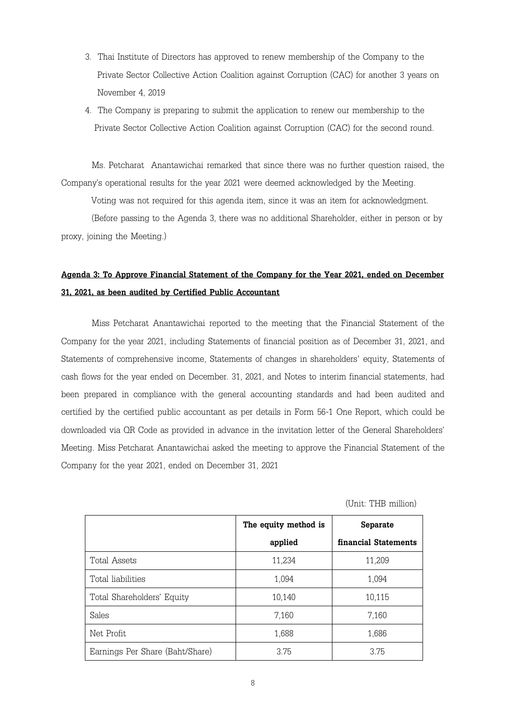- 3. Thai Institute of Directors has approved to renew membership of the Company to the Private Sector Collective Action Coalition against Corruption (CAC) for another 3 years on November 4, 2019
- 4. The Company is preparing to submit the application to renew our membership to the Private Sector Collective Action Coalition against Corruption (CAC) for the second round.

Ms. Petcharat Anantawichai remarked that since there was no further question raised, the Company's operational results for the year 2021 were deemed acknowledged by the Meeting.

Voting was not required for this agenda item, since it was an item for acknowledgment.

 (Before passing to the Agenda 3, there was no additional Shareholder, either in person or by proxy, joining the Meeting.)

## **Agenda 3: To Approve Financial Statement of the Company for the Year 2021, ended on December 31, 2021, as been audited by Certified Public Accountant**

Miss Petcharat Anantawichai reported to the meeting that the Financial Statement of the Company for the year 2021, including Statements of financial position as of December 31, 2021, and Statements of comprehensive income, Statements of changes in shareholders' equity, Statements of cash flows for the year ended on December. 31, 2021, and Notes to interim financial statements, had been prepared in compliance with the general accounting standards and had been audited and certified by the certified public accountant as per details in Form 56-1 One Report, which could be downloaded via QR Code as provided in advance in the invitation letter of the General Shareholders' Meeting. Miss Petcharat Anantawichai asked the meeting to approve the Financial Statement of the Company for the year 2021, ended on December 31, 2021

(Unit: THB million)

|                                 | The equity method is | Separate             |
|---------------------------------|----------------------|----------------------|
|                                 | applied              | financial Statements |
| Total Assets                    | 11,234               | 11,209               |
| Total liabilities               | 1,094                | 1,094                |
| Total Shareholders' Equity      | 10,140               | 10,115               |
| Sales                           | 7,160                | 7,160                |
| Net Profit                      | 1,688                | 1,686                |
| Earnings Per Share (Baht/Share) | 3.75                 | 375                  |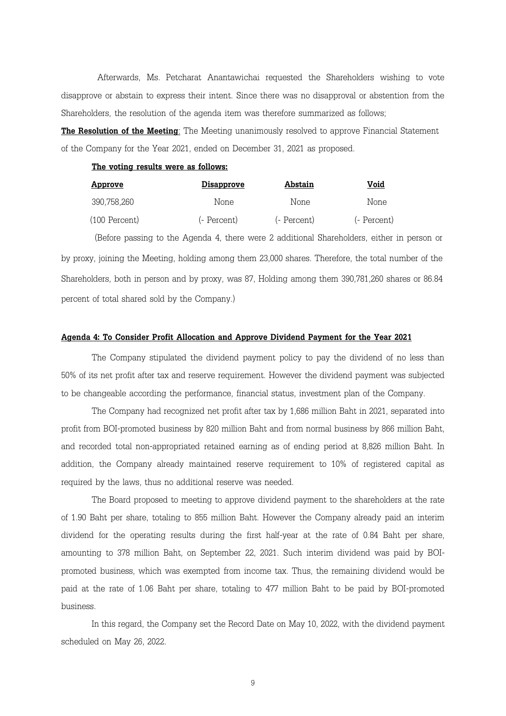Afterwards, Ms. Petcharat Anantawichai requested the Shareholders wishing to vote disapprove or abstain to express their intent. Since there was no disapproval or abstention from the Shareholders, the resolution of the agenda item was therefore summarized as follows;

**The Resolution of the Meeting**: The Meeting unanimously resolved to approve Financial Statement of the Company for the Year 2021, ended on December 31, 2021 as proposed.

### **The voting results were as follows:**

| <u>Approve</u>  | <b>Disapprove</b> | Abstain     | Void        |
|-----------------|-------------------|-------------|-------------|
| 390,758,260     | None              | None        | None        |
| $(100$ Percent) | (- Percent)       | (- Percent) | (- Percent) |

(Before passing to the Agenda 4, there were 2 additional Shareholders, either in person or by proxy, joining the Meeting, holding among them 23,000 shares. Therefore, the total number of the Shareholders, both in person and by proxy, was 87, Holding among them 390,781,260 shares or 86.84 percent of total shared sold by the Company.)

#### **Agenda 4: To Consider Profit Allocation and Approve Dividend Payment for the Year 2021**

The Company stipulated the dividend payment policy to pay the dividend of no less than 50% of its net profit after tax and reserve requirement. However the dividend payment was subjected to be changeable according the performance, financial status, investment plan of the Company.

The Company had recognized net profit after tax by 1,686 million Baht in 2021, separated into profit from BOI-promoted business by 820 million Baht and from normal business by 866 million Baht, and recorded total non-appropriated retained earning as of ending period at 8,826 million Baht. In addition, the Company already maintained reserve requirement to 10% of registered capital as required by the laws, thus no additional reserve was needed.

The Board proposed to meeting to approve dividend payment to the shareholders at the rate of 1.90 Baht per share, totaling to 855 million Baht. However the Company already paid an interim dividend for the operating results during the first half-year at the rate of 0.84 Baht per share, amounting to 378 million Baht, on September 22, 2021. Such interim dividend was paid by BOIpromoted business, which was exempted from income tax. Thus, the remaining dividend would be paid at the rate of 1.06 Baht per share, totaling to 477 million Baht to be paid by BOI-promoted business.

In this regard, the Company set the Record Date on May 10, 2022, with the dividend payment scheduled on May 26, 2022.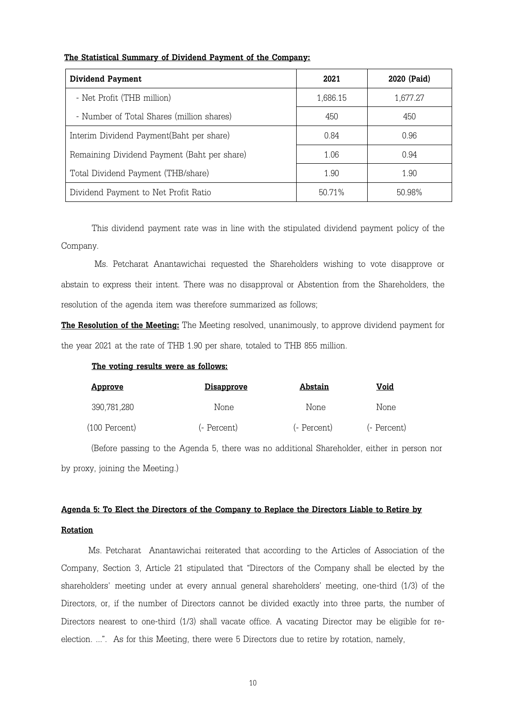## **The Statistical Summary of Dividend Payment of the Company:**

| <b>Dividend Payment</b>                     | 2021     | 2020 (Paid) |
|---------------------------------------------|----------|-------------|
| - Net Profit (THB million)                  | 1,686.15 | 1,677.27    |
| - Number of Total Shares (million shares)   | 450      | 450         |
| Interim Dividend Payment (Baht per share)   | 0.84     | 0.96        |
| Remaining Dividend Payment (Baht per share) | 1.06     | 0.94        |
| Total Dividend Payment (THB/share)          | 1.90     | 1.90        |
| Dividend Payment to Net Profit Ratio        | 50 71 %  | 50.98%      |

This dividend payment rate was in line with the stipulated dividend payment policy of the Company.

 Ms. Petcharat Anantawichai requested the Shareholders wishing to vote disapprove or abstain to express their intent. There was no disapproval or Abstention from the Shareholders, the resolution of the agenda item was therefore summarized as follows;

**The Resolution of the Meeting:** The Meeting resolved, unanimously, to approve dividend payment for the year 2021 at the rate of THB 1.90 per share, totaled to THB 855 million.

### **The voting results were as follows:**

| <u>Approve</u> | <u>Disapprove</u> | Abstain     | Void        |
|----------------|-------------------|-------------|-------------|
| 390,781,280    | None              | None        | None        |
| (100 Percent)  | (- Percent)       | (- Percent) | (- Percent) |

 (Before passing to the Agenda 5, there was no additional Shareholder, either in person nor by proxy, joining the Meeting.)

# **Agenda 5: To Elect the Directors of the Company to Replace the Directors Liable to Retire by Rotation**

 Ms. Petcharat Anantawichai reiterated that according to the Articles of Association of the Company, Section 3, Article 21 stipulated that "Directors of the Company shall be elected by the shareholders' meeting under at every annual general shareholders' meeting, one-third (1/3) of the Directors, or, if the number of Directors cannot be divided exactly into three parts, the number of Directors nearest to one-third (1/3) shall vacate office. A vacating Director may be eligible for reelection. ...". As for this Meeting, there were 5 Directors due to retire by rotation, namely,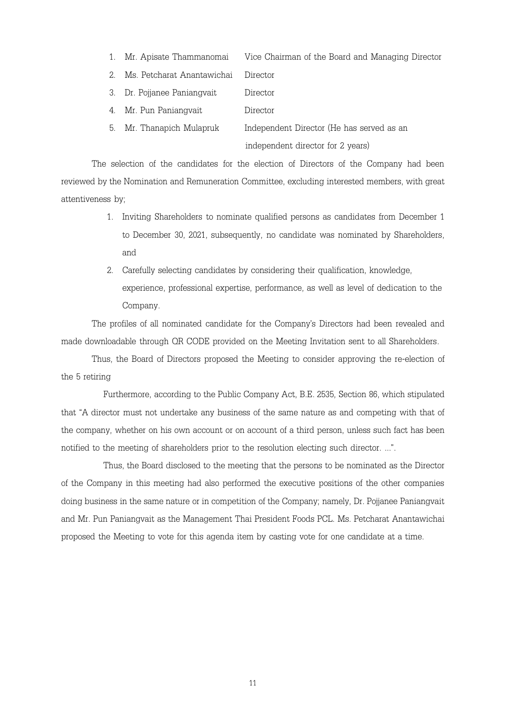- 1. Mr. Apisate Thammanomai Vice Chairman of the Board and Managing Director
- 2. Ms. Petcharat Anantawichai Director
- 3. Dr. Pojjanee Paniangvait Director
- 4. Mr. Pun Paniangvait Director
- 5. Mr. Thanapich Mulapruk Independent Director (He has served as an independent director for 2 years)

The selection of the candidates for the election of Directors of the Company had been reviewed by the Nomination and Remuneration Committee, excluding interested members, with great attentiveness by;

- 1. Inviting Shareholders to nominate qualified persons as candidates from December 1 to December 30, 2021, subsequently, no candidate was nominated by Shareholders, and
- 2. Carefully selecting candidates by considering their qualification, knowledge, experience, professional expertise, performance, as well as level of dedication to the Company.

The profiles of all nominated candidate for the Company's Directors had been revealed and made downloadable through QR CODE provided on the Meeting Invitation sent to all Shareholders.

Thus, the Board of Directors proposed the Meeting to consider approving the re-election of the 5 retiring

Furthermore, according to the Public Company Act, B.E. 2535, Section 86, which stipulated that "A director must not undertake any business of the same nature as and competing with that of the company, whether on his own account or on account of a third person, unless such fact has been notified to the meeting of shareholders prior to the resolution electing such director. ...".

Thus, the Board disclosed to the meeting that the persons to be nominated as the Director of the Company in this meeting had also performed the executive positions of the other companies doing business in the same nature or in competition of the Company; namely, Dr. Pojjanee Paniangvait and Mr. Pun Paniangvait as the Management Thai President Foods PCL. Ms. Petcharat Anantawichai proposed the Meeting to vote for this agenda item by casting vote for one candidate at a time.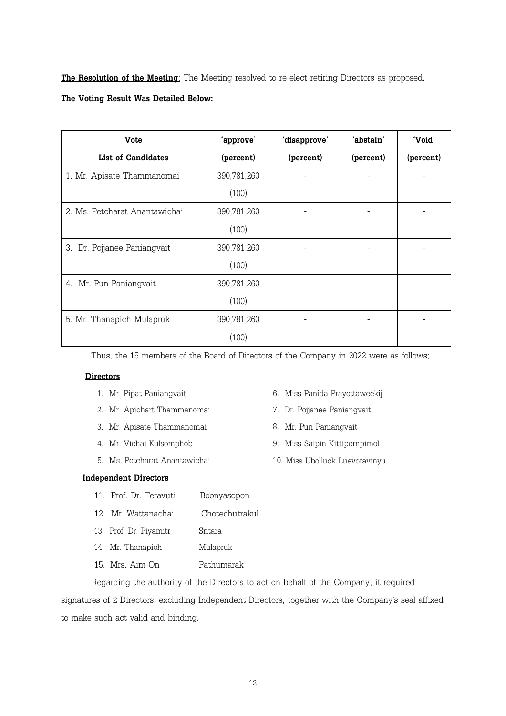**The Resolution of the Meeting**: The Meeting resolved to re-elect retiring Directors as proposed.

## **The Voting Result Was Detailed Below:**

| <b>Vote</b>                    | 'approve'   | 'disapprove' | 'abstain' | 'Void'    |
|--------------------------------|-------------|--------------|-----------|-----------|
| <b>List of Candidates</b>      | (percent)   | (percent)    | (percent) | (percent) |
| 1. Mr. Apisate Thammanomai     | 390,781,260 |              |           |           |
|                                | (100)       |              |           |           |
| 2. Ms. Petcharat Anantawichai  | 390,781,260 |              |           |           |
|                                | (100)       |              |           |           |
| 3.<br>Dr. Pojjanee Paniangvait | 390,781,260 |              |           |           |
|                                | (100)       |              |           |           |
| Mr. Pun Paniangvait<br>4.      | 390,781,260 |              |           |           |
|                                | (100)       |              |           |           |
| 5. Mr. Thanapich Mulapruk      | 390,781,260 |              |           |           |
|                                | (100)       |              |           |           |

Thus, the 15 members of the Board of Directors of the Company in 2022 were as follows;

### **Directors**

- 
- 2. Mr. Apichart Thammanomai 7. Dr. Pojjanee Paniangvait
- 3. Mr. Apisate Thammanomai 8. Mr. Pun Paniangvait
- 
- 5. Ms. Petcharat Anantawichai 10. Miss Ubolluck Luevoravinyu
- 1. Mr. Pipat Paniangvait6. Miss Panida Prayottaweekij
	-
	-
- 4. Mr. Vichai Kulsomphob 9. Miss Saipin Kittipornpimol
	-

## **Independent Directors**

- 11. Prof. Dr. Teravuti Boonyasopon
- 12. Mr. Wattanachai Chotechutrakul
- 13. Prof. Dr. Piyamitr Sritara
- 14. Mr. Thanapich Mulapruk
- 15. Mrs. Aim-On Pathumarak

Regarding the authority of the Directors to act on behalf of the Company, it required signatures of 2 Directors, excluding Independent Directors, together with the Company's seal affixed to make such act valid and binding.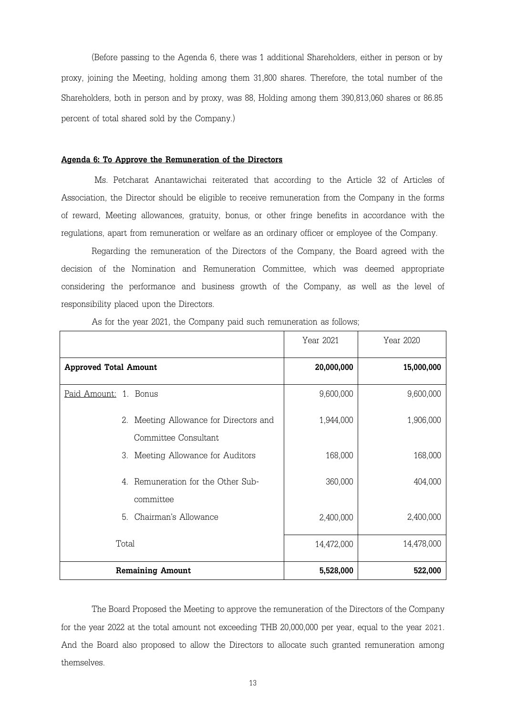(Before passing to the Agenda 6, there was 1 additional Shareholders, either in person or by proxy, joining the Meeting, holding among them 31,800 shares. Therefore, the total number of the Shareholders, both in person and by proxy, was 88, Holding among them 390,813,060 shares or 86.85 percent of total shared sold by the Company.)

#### **Agenda 6: To Approve the Remuneration of the Directors**

 Ms. Petcharat Anantawichai reiterated that according to the Article 32 of Articles of Association, the Director should be eligible to receive remuneration from the Company in the forms of reward, Meeting allowances, gratuity, bonus, or other fringe benefits in accordance with the regulations, apart from remuneration or welfare as an ordinary officer or employee of the Company.

Regarding the remuneration of the Directors of the Company, the Board agreed with the decision of the Nomination and Remuneration Committee, which was deemed appropriate considering the performance and business growth of the Company, as well as the level of responsibility placed upon the Directors.

|                                                                | Year 2021  | Year 2020  |
|----------------------------------------------------------------|------------|------------|
| <b>Approved Total Amount</b>                                   | 20,000,000 | 15,000,000 |
| Paid Amount: 1. Bonus                                          | 9,600,000  | 9,600,000  |
| 2. Meeting Allowance for Directors and<br>Committee Consultant | 1,944,000  | 1,906,000  |
| 3. Meeting Allowance for Auditors                              | 168,000    | 168,000    |
| 4. Remuneration for the Other Sub-<br>committee                | 360,000    | 404,000    |
| Chairman's Allowance<br>5                                      | 2,400,000  | 2,400,000  |
| Total                                                          | 14,472,000 | 14,478,000 |
| <b>Remaining Amount</b>                                        | 5,528,000  | 522,000    |

As for the year 2021, the Company paid such remuneration as follows;

The Board Proposed the Meeting to approve the remuneration of the Directors of the Company for the year 2022 at the total amount not exceeding THB 20,000,000 per year, equal to the year 2021. And the Board also proposed to allow the Directors to allocate such granted remuneration among themselves.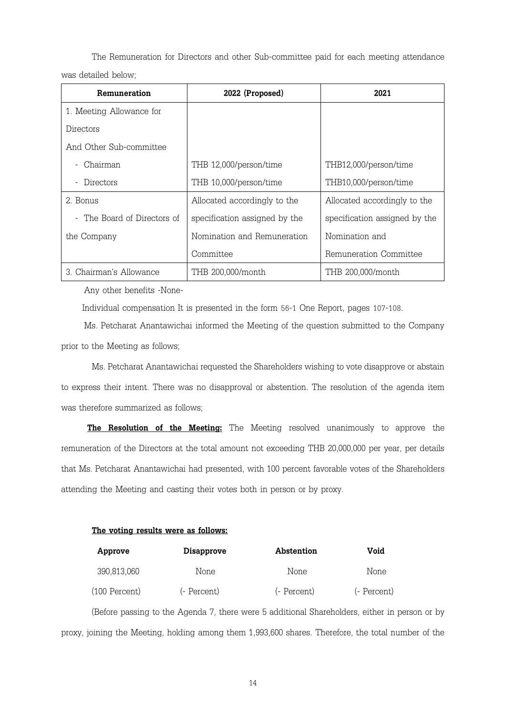The Remuneration for Directors and other Sub-committee paid for each meeting attendance was detailed below;

| Remuneration                | 2022 (Proposed)               | 2021                          |
|-----------------------------|-------------------------------|-------------------------------|
| 1. Meeting Allowance for    |                               |                               |
| Directors                   |                               |                               |
| And Other Sub-committee     |                               |                               |
| Chairman                    | THB 12,000/person/time        | THB12,000/person/time         |
| Directors                   | THB 10,000/person/time        | THB10,000/person/time         |
| 2. Bonus                    | Allocated accordingly to the  | Allocated accordingly to the  |
| - The Board of Directors of | specification assigned by the | specification assigned by the |
| the Company                 | Nomination and Remuneration   | Nomination and                |
|                             | Committee                     | Remuneration Committee        |
| 3 Chairman's Allowance      | THB 200,000/month             | THB 200,000/month             |

Any other benefits -None-

Individual compensation It is presented in the form 56-1 One Report, pages 107-108.

Ms. Petcharat Anantawichai informed the Meeting of the question submitted to the Company prior to the Meeting as follows;

Ms. Petcharat Anantawichai requested the Shareholders wishing to vote disapprove or abstain to express their intent. There was no disapproval or abstention. The resolution of the agenda item was therefore summarized as follows;

**The Resolution of the Meeting:** The Meeting resolved unanimously to approve the remuneration of the Directors at the total amount not exceeding THB 20,000,000 per year, per details that Ms. Petcharat Anantawichai had presented, with 100 percent favorable votes of the Shareholders attending the Meeting and casting their votes both in person or by proxy.

### **The voting results were as follows:**

| Approve       | <b>Disapprove</b> | Abstention  | Void        |
|---------------|-------------------|-------------|-------------|
| 390,813,060   | None              | None        | None        |
| (100 Percent) | (- Percent)       | (- Percent) | (- Percent) |

(Before passing to the Agenda 7, there were 5 additional Shareholders, either in person or by proxy, joining the Meeting, holding among them 1,993,600 shares. Therefore, the total number of the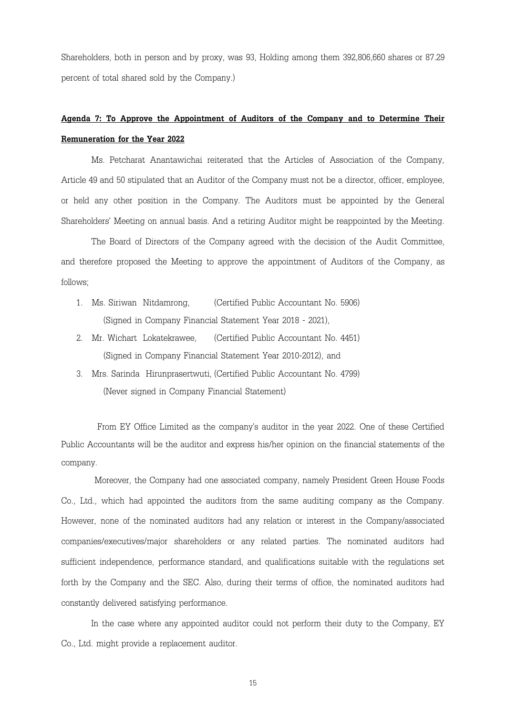Shareholders, both in person and by proxy, was 93, Holding among them 392,806,660 shares or 87.29 percent of total shared sold by the Company.)

# **Agenda 7: To Approve the Appointment of Auditors of the Company and to Determine Their Remuneration for the Year 2022**

Ms. Petcharat Anantawichai reiterated that the Articles of Association of the Company, Article 49 and 50 stipulated that an Auditor of the Company must not be a director, officer, employee, or held any other position in the Company. The Auditors must be appointed by the General Shareholders' Meeting on annual basis. And a retiring Auditor might be reappointed by the Meeting.

The Board of Directors of the Company agreed with the decision of the Audit Committee, and therefore proposed the Meeting to approve the appointment of Auditors of the Company, as follows;

- 1. Ms. Siriwan Nitdamrong, (Certified Public Accountant No. 5906) (Signed in Company Financial Statement Year 2018 - 2021),
- 2. Mr. Wichart Lokatekrawee, (Certified Public Accountant No. 4451) (Signed in Company Financial Statement Year 2010-2012), and
- 3. Mrs. Sarinda Hirunprasertwuti, (Certified Public Accountant No. 4799) (Never signed in Company Financial Statement)

From EY Office Limited as the company's auditor in the year 2022. One of these Certified Public Accountants will be the auditor and express his/her opinion on the financial statements of the company.

 Moreover, the Company had one associated company, namely President Green House Foods Co., Ltd., which had appointed the auditors from the same auditing company as the Company. However, none of the nominated auditors had any relation or interest in the Company/associated companies/executives/major shareholders or any related parties. The nominated auditors had sufficient independence, performance standard, and qualifications suitable with the regulations set forth by the Company and the SEC. Also, during their terms of office, the nominated auditors had constantly delivered satisfying performance.

In the case where any appointed auditor could not perform their duty to the Company, EY Co., Ltd. might provide a replacement auditor.

15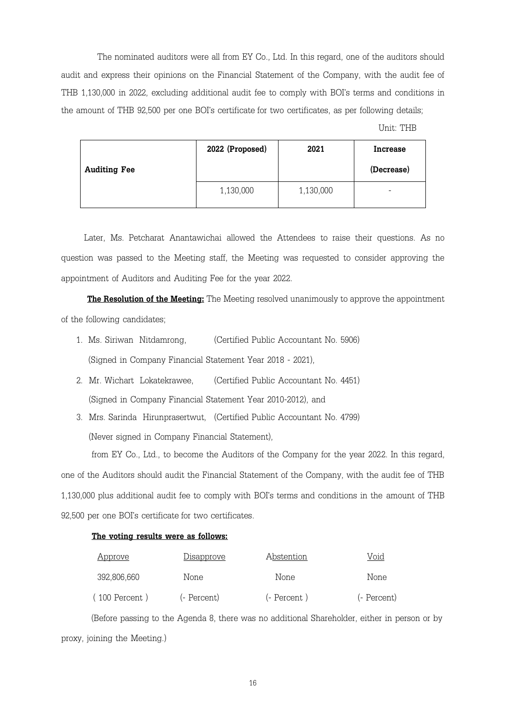The nominated auditors were all from EY Co., Ltd. In this regard, one of the auditors should audit and express their opinions on the Financial Statement of the Company, with the audit fee of THB 1,130,000 in 2022, excluding additional audit fee to comply with BOI's terms and conditions in the amount of THB 92,500 per one BOI's certificate for two certificates, as per following details;

Unit: THB

| <b>Auditing Fee</b> | 2022 (Proposed) | 2021      | <b>Increase</b><br>(Decrease) |
|---------------------|-----------------|-----------|-------------------------------|
|                     | 1,130,000       | 1,130,000 | -                             |

Later, Ms. Petcharat Anantawichai allowed the Attendees to raise their questions. As no question was passed to the Meeting staff, the Meeting was requested to consider approving the appointment of Auditors and Auditing Fee for the year 2022.

**The Resolution of the Meeting:** The Meeting resolved unanimously to approve the appointment of the following candidates;

- 1. Ms. Siriwan Nitdamrong, (Certified Public Accountant No. 5906) (Signed in Company Financial Statement Year 2018 - 2021),
- 2. Mr. Wichart Lokatekrawee, (Certified Public Accountant No. 4451) (Signed in Company Financial Statement Year 2010-2012), and
- 3. Mrs. Sarinda Hirunprasertwut, (Certified Public Accountant No. 4799) (Never signed in Company Financial Statement),

from EY Co., Ltd., to become the Auditors of the Company for the year 2022. In this regard, one of the Auditors should audit the Financial Statement of the Company, with the audit fee of THB 1,130,000 plus additional audit fee to comply with BOI's terms and conditions in the amount of THB 92,500 per one BOI's certificate for two certificates.

## **The voting results were as follows:**

| <u>Approve</u> | <u>Disapprove</u> | Abstention   | Void        |
|----------------|-------------------|--------------|-------------|
| 392.806.660    | None              | None         | None        |
| 100 Percent)   | (- Percent)       | (- Percent ) | (- Percent) |

 (Before passing to the Agenda 8, there was no additional Shareholder, either in person or by proxy, joining the Meeting.)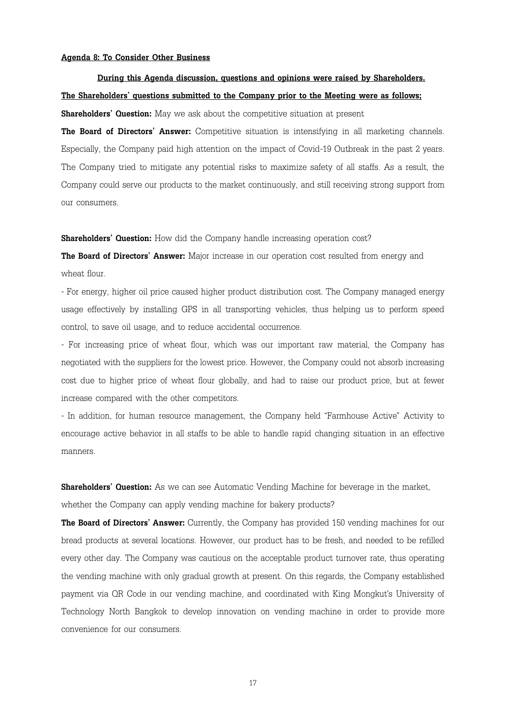#### **Agenda 8: To Consider Other Business**

 **During this Agenda discussion, questions and opinions were raised by Shareholders. The Shareholders' questions submitted to the Company prior to the Meeting were as follows;**

**Shareholders' Question:** May we ask about the competitive situation at present

**The Board of Directors' Answer:** Competitive situation is intensifying in all marketing channels. Especially, the Company paid high attention on the impact of Covid-19 Outbreak in the past 2 years. The Company tried to mitigate any potential risks to maximize safety of all staffs. As a result, the Company could serve our products to the market continuously, and still receiving strong support from our consumers.

**Shareholders' Question:** How did the Company handle increasing operation cost?

**The Board of Directors' Answer:** Major increase in our operation cost resulted from energy and wheat flour.

- For energy, higher oil price caused higher product distribution cost. The Company managed energy usage effectively by installing GPS in all transporting vehicles, thus helping us to perform speed control, to save oil usage, and to reduce accidental occurrence.

- For increasing price of wheat flour, which was our important raw material, the Company has negotiated with the suppliers for the lowest price. However, the Company could not absorb increasing cost due to higher price of wheat flour globally, and had to raise our product price, but at fewer increase compared with the other competitors.

- In addition, for human resource management, the Company held "Farmhouse Active" Activity to encourage active behavior in all staffs to be able to handle rapid changing situation in an effective manners.

**Shareholders' Question:** As we can see Automatic Vending Machine for beverage in the market,

whether the Company can apply vending machine for bakery products?

**The Board of Directors' Answer:** Currently, the Company has provided 150 vending machines for our bread products at several locations. However, our product has to be fresh, and needed to be refilled every other day. The Company was cautious on the acceptable product turnover rate, thus operating the vending machine with only gradual growth at present. On this regards, the Company established payment via QR Code in our vending machine, and coordinated with King Mongkut's University of Technology North Bangkok to develop innovation on vending machine in order to provide more convenience for our consumers.